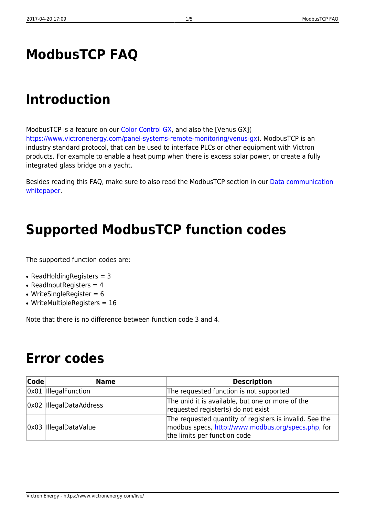### **ModbusTCP FAQ**

### **Introduction**

ModbusTCP is a feature on our [Color Control GX](https://www.victronenergy.com/panel-systems-remote-monitoring/colorcontrol), and also the [Venus GX]( [https://www.victronenergy.com/panel-systems-remote-monitoring/venus-gx\)](https://www.victronenergy.com/panel-systems-remote-monitoring/venus-gx). ModbusTCP is an industry standard protocol, that can be used to interface PLCs or other equipment with Victron products. For example to enable a heat pump when there is excess solar power, or create a fully integrated glass bridge on a yacht.

Besides reading this FAQ, make sure to also read the ModbusTCP section in our [Data communication](https://www.victronenergy.com/upload/documents/Whitepaper-Data-communication-with-Victron-Energy-products_EN.pdf) [whitepaper](https://www.victronenergy.com/upload/documents/Whitepaper-Data-communication-with-Victron-Energy-products_EN.pdf).

### **Supported ModbusTCP function codes**

The supported function codes are:

- ReadHoldingRegisters  $=$  3
- $\bullet$  ReadInputRegisters = 4
- WriteSingleRegister  $= 6$
- WriteMultipleRegisters  $= 16$

Note that there is no difference between function code 3 and 4.

#### **Error codes**

| Code | <b>Name</b>             | <b>Description</b>                                                                                                                            |
|------|-------------------------|-----------------------------------------------------------------------------------------------------------------------------------------------|
|      | 0x01  IllegalFunction   | The requested function is not supported                                                                                                       |
|      | 0x02 IllegalDataAddress | The unid it is available, but one or more of the<br>requested register(s) do not exist                                                        |
|      | 0x03 IllegalDataValue   | The requested quantity of registers is invalid. See the<br>modbus specs, http://www.modbus.org/specs.php, for<br>the limits per function code |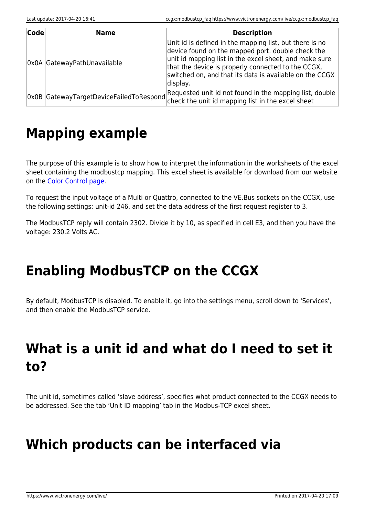| Code | <b>Name</b>                 | <b>Description</b>                                                                                                                                                                                                                                                                                  |
|------|-----------------------------|-----------------------------------------------------------------------------------------------------------------------------------------------------------------------------------------------------------------------------------------------------------------------------------------------------|
|      | OxOA GatewayPathUnavailable | Unit id is defined in the mapping list, but there is no<br>device found on the mapped port. double check the<br>unit id mapping list in the excel sheet, and make sure<br>that the device is properly connected to the CCGX,<br>switched on, and that its data is available on the CCGX<br>display. |
|      |                             | $\vert$ 0x0B GatewayTargetDeviceFailedToRespond Requested unit id not found in the mapping list, double $\vert$                                                                                                                                                                                     |

## **Mapping example**

The purpose of this example is to show how to interpret the information in the worksheets of the excel sheet containing the modbustcp mapping. This excel sheet is available for download from our website on the [Color Control page](https://www.victronenergy.com/panel-systems-remote-monitoring/color-control#whitepapers).

To request the input voltage of a Multi or Quattro, connected to the VE.Bus sockets on the CCGX, use the following settings: unit-id 246, and set the data address of the first request register to 3.

The ModbusTCP reply will contain 2302. Divide it by 10, as specified in cell E3, and then you have the voltage: 230.2 Volts AC.

# **Enabling ModbusTCP on the CCGX**

By default, ModbusTCP is disabled. To enable it, go into the settings menu, scroll down to 'Services', and then enable the ModbusTCP service.

# **What is a unit id and what do I need to set it to?**

The unit id, sometimes called 'slave address', specifies what product connected to the CCGX needs to be addressed. See the tab 'Unit ID mapping' tab in the Modbus-TCP excel sheet.

## **Which products can be interfaced via**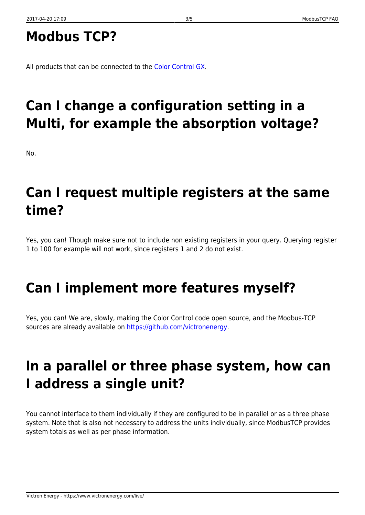## **Modbus TCP?**

All products that can be connected to the [Color Control GX](https://www.victronenergy.com/panel-systems-remote-monitoring/color-control).

# **Can I change a configuration setting in a Multi, for example the absorption voltage?**

No.

## **Can I request multiple registers at the same time?**

Yes, you can! Though make sure not to include non existing registers in your query. Querying register 1 to 100 for example will not work, since registers 1 and 2 do not exist.

# **Can I implement more features myself?**

Yes, you can! We are, slowly, making the Color Control code open source, and the Modbus-TCP sources are already available on [https://github.com/victronenergy.](https://github.com/victronenergy)

# **In a parallel or three phase system, how can I address a single unit?**

You cannot interface to them individually if they are configured to be in parallel or as a three phase system. Note that is also not necessary to address the units individually, since ModbusTCP provides system totals as well as per phase information.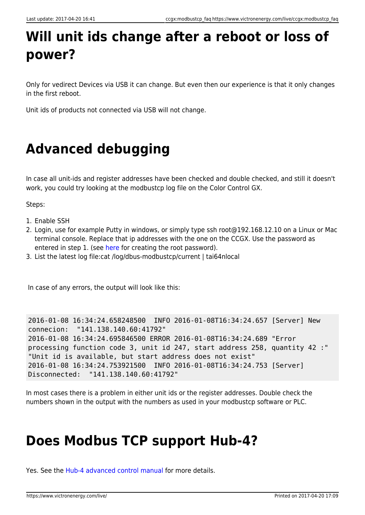# **Will unit ids change after a reboot or loss of power?**

Only for vedirect Devices via USB it can change. But even then our experience is that it only changes in the first reboot.

Unit ids of products not connected via USB will not change.

# **Advanced debugging**

In case all unit-ids and register addresses have been checked and double checked, and still it doesn't work, you could try looking at the modbustcp log file on the Color Control GX.

Steps:

- 1. Enable SSH
- 2. Login, use for example Putty in windows, or simply type ssh root@192.168.12.10 on a Linux or Mac terminal console. Replace that ip addresses with the one on the CCGX. Use the password as entered in step 1. (see [here](https://www.victronenergy.com/live/ccgx:root_access) for creating the root password).
- 3. List the latest log file:cat /log/dbus-modbustcp/current | tai64nlocal

In case of any errors, the output will look like this:

```
2016-01-08 16:34:24.658248500 INFO 2016-01-08T16:34:24.657 [Server] New
connecion: "141.138.140.60:41792"
2016-01-08 16:34:24.695846500 ERROR 2016-01-08T16:34:24.689 "Error
processing function code 3, unit id 247, start address 258, quantity 42 :"
"Unit id is available, but start address does not exist"
2016-01-08 16:34:24.753921500 INFO 2016-01-08T16:34:24.753 [Server]
Disconnected: "141.138.140.60:41792"
```
In most cases there is a problem in either unit ids or the register addresses. Double check the numbers shown in the output with the numbers as used in your modbustcp software or PLC.

### **Does Modbus TCP support Hub-4?**

Yes. See the [Hub-4 advanced control manual](https://www.victronenergy.com/live/system_integration:hub4_grid_parallel_external_control_loop) for more details.